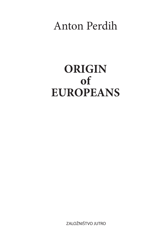# Anton Perdih

# **ORIGIN of EUROPEANS**

ZALOŽNIŠTVO JUTRO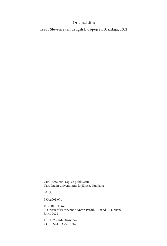#### Original title:

**Izvor Slovencev in drugih Evropejcev, 3. izdaja, 2021**

CIP - Kataložni zapis o publikaciji Narodna in univerzitetna knjižnica, Ljubljana

903(4) 811 930.2:003.071

PERDIH, Anton Origin of Europeans / Anton Perdih. - 1st ed. - Ljubljana : Jutro, 2022

ISBN 978-961-7024-16-6 COBISS.SI-ID 95915267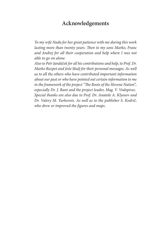#### **Acknowledgements**

*To my wife Nada for her great patience with me during this work lasting more than twenty years. Then to my sons Marko, Franc and Andrej for all their cooperation and help where I was not able to go on alone.*

*Also to Petr Jandáček for all his contributions and help, to Prof. Dr. Marko Razpet and Jože Skulj for their personal messages. As well as to all the others who have contributed important information about our past or who have pointed out certain information to me in the framework of the project "The Roots of the Slovene Nation*"*, especially Dr. J. Rant and the project leader, Mag. V. Vodopivec. Special thanks are also due to Prof. Dr. Anatole A. Klyosov and Dr. Valery M. Yurkovets. As well as to the publisher S. Kodrič, who drew or improved the figures and maps.*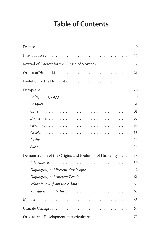## **Table of Contents**

| Revival of Interest for the Origin of Slovenes. 17                                        |
|-------------------------------------------------------------------------------------------|
| 21                                                                                        |
| 22                                                                                        |
| 28                                                                                        |
|                                                                                           |
|                                                                                           |
|                                                                                           |
|                                                                                           |
|                                                                                           |
|                                                                                           |
|                                                                                           |
|                                                                                           |
| Demonstration of the Origins and Evolution of Humanity. 38                                |
|                                                                                           |
| Haplogroups of Present-day People 42                                                      |
|                                                                                           |
|                                                                                           |
| The question of India $\ldots \ldots \ldots \ldots \ldots \ldots \ldots \ldots \ldots$ 63 |
|                                                                                           |
| 67                                                                                        |
| Origins and Development of Agriculture $\ldots \ldots \ldots \ldots$<br>73                |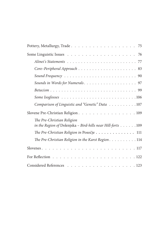| Comparison of Linguistic and "Genetic" Data 107             |
|-------------------------------------------------------------|
| Slovene Pre-Christian Religion. 109                         |
| The Pre-Christian Religion                                  |
| in the Region of Dolenjska - Bird-hills near Hill-forts 109 |
| The Pre-Christian Religion in Posočje 111                   |
| The Pre-Christian Religion in the Karst Region. 114         |
|                                                             |
|                                                             |
| Considered References 123                                   |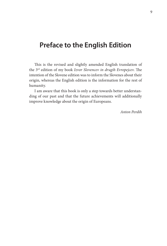## **Preface to the English Edition**

This is the revised and slightly amended English translation of the 3rd edition of my book *Izvor Slovencev in drugih Evropejcev*. The intention of the Slovene edition was to inform the Slovenes about their origin, whereas the English edition is the information for the rest of humanity.

I am aware that this book is only a step towards better understanding of our past and that the future achievements will additionally improve knowledge about the origin of Europeans.

*Anton Perdih*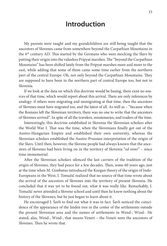## **Introduction**

My parents were taught and my grandchildren are still being taught that the ancestors of Slovenes came from somewhere beyond the Carpathian Mountains in the 6th century AD. This started by the Germans who were mocking the Slavs by putting their origin into the valueless Pripyat marshes. The "beyond the Carpathian Mountains" has been shifted lately from the Pripyat marshes more and more to the east, while adding that some of them came some time earlier from the northern part of the central Europe. Oh, not only beyond the Carpathian Mountains. They are supposed to have been in the northern part of central Europe too, but not in Slovenia.

If we look at the data on which this doctrine would be basing, there exist no sources of that time, which would report about this arrival. There are only inferences by analogy: if others were migrating and immigrating at that time, then the ancestors of Slovenes must have migrated too, and the latest of all. As well as – "because when the Romans left the Slovenian territory, there was no one to write that the ancestors of Slovenes arrived". In spite of all the travelers, missionaries, and traders of the time.

Interestingly, this doctrine established in Slovenia the Slovenian scholars after the World War I. That was the time, when the Slovenians finally got out of the Austro-Hungarian Empire and established their own university, whereas the Slovenian scholars established the Austro-Prussian interpretation of the origin of the Slavs. Until then, however, the Slovene people had always known that the ancestors of Slovenes had been living on in the territory of Slovenia "*od nimr*" – since time immemorial.

After the Slovenian scholars silenced the last carriers of the tradition of the origin of Slovenes, they had peace for a few decades. Then, some 60 years ago, just at the time when M. Gimbutas introduced the Kurgan theory of the origin of Indo-Europeans in the West, I. Tomažič realized that no source of that time wrote about the arrival of the ancestors of Slovenes into the territory of present Slovenia. He concluded that it was yet to be found out, what it was really like. Remarkably, I. Tomažič never attended a Slovene school and until then he knew nothing about the history of the Slovenes, but he just began to learn about it.

He encouraged J. Šavli to find out what it was in fact. Šavli noticed the coincidence of the appearance of the linden tree in the center of the settlements outside the present Slovenian area and the names of settlements in Wend-, Wind-. He stated, alas, Wend-, Wind-, that means Veneti – the Veneti were the ancestors of Slovenes. Then he wrote that.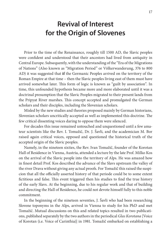## **Revival of Interest for the Origin of Slovenes**

Prior to the time of the Renaissance, roughly till 1500 AD, the Slavic peoples were confident and understood that their ancestors had lived from antiquity in Central Europe. Subsequently, with the understanding of the "Era of the Migrations of Nations" (Also known as "Migration Period" or Völkerwanderung, 376 to 800 AD) it was suggested that **if** the Germanic Peoples arrived on the territory of the Roman Empire at that time – then the Slavic peoples living east of them must have arrived somewhat later. This form of logic is known as "guilt by association". In time, this unfounded hypothesis became more and more elaborated until it was a doctrinal presumption that the Slavic Peoples migrated to their present lands from the Pripyat River marshes. This concept accepted and promulgated the German scholars and their disciples, including the Slovenian scholars.

Misled by the new studies and theories proposed mainly by German historians, Slovenian scholars uncritically accepted as well as implemented this doctrine. The few critical dissenting voices daring to oppose them were silenced.

For decades this issue remained untouched and unquestioned until a few amateur scientists like the Rev. I. Tomažič, Dr. J. Šavli, and the academician M. Bor raised again critical voices, opposed and questioned the historical truth of the accepted origin of the Slavic peoples.

Namely, in the nineteen sixties, the Rev. Ivan Tomažič, founder of the Korotan Hall of Residence in Vienna, Austria, attended a lecture by the late Prof. Milko Kos on the arrival of the Slavic people into the territory of Alps. He was amazed how in finest detail Prof. Kos described the advance of the Slavs upstream the valley of the river Drava without giving any actual proofs. For Tomažič this raised the suspicion that all the officially asserted history of that periode could be to some extent fictitious and false. This event triggered then his studies to find the true history of the early Slavs. At the beginning, due to his regular work and that of building and directing the Hall of Residence, he could not devote himself fully to this noble commitment.

In the beginning of the nineteen seventies, J. Šavli who had been researching Slovene toponyms in the Alps, arrived in Vienna to study for his PhD and met Tomažič. Mutual discussions on this and related topics resulted in two publications, published separately by the two authors in the periodical *Glas Korotana* [Voice of Korotan (i.e. Voice of Carinthia)] in 1981. Tomažič embarked on establishing a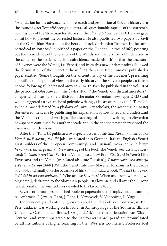"Foundation for the advancement of research and promotion of Slovene history". In the founding act Tomažič brought forward all questionable aspects of the currently held history of the Slovenian territories in the 5<sup>th</sup> and 6<sup>th</sup> century AD. He also gave a hint how to present the corrected history. He also published two papers by Šavli on the Carinthian Hat and on the heraldic black Carinthian Panther. In the same periodical in 1982 Šavli published a paper on the "Linden – a tree of life", pointing out the coincidence of the territory of the Wends and the territory of linden tree in the center of the settlement. This coincidence made him think that the ancestors of Slovenes were the Wends, i.e. Veneti, and from this new understanding followed the formulation of the "Venetic theory". At the same time Tomažič published a paper entitled "Some thoughts on the ancient history of the Slovenes", presenting an outline of his point of view on the early history of the Slovene peoples, a theme he was following till he passed away in 2014. In 1985 he published in the vol. 10 of the periodical *Glas Korotana* the Šavli's study "The Veneti, our distant ancestors?", a paper which was harshly criticised in the major Slovenian newspaper DELO and which triggered an avalanche of polemic writings, also answered by the I. Tomažič. When almost defeated by a phalanx of university scholars, the academician Matej Bor entered the scene by publishing his explanation of how to read and understand the Venetic scripts and writings. The exchange of polemic writings in Slovenian newspapers continued for another decade and in the end the newspapers closed the discussion on this issue.

After that, Tomažič published two special issues of the *Glas Korotana*, the books *Veneti, naši davni predniki* [also translated into German, Italian, English (Veneti First Builders of the European Community), and Russian], *Novo sporočilo knjige Veneti naši davni predniki* [New message of the book The Veneti, our distant ancestors]; *Z Veneti v novi čas* [With the Veneti into a New Era]; *Etruščani in Veneti* [The Etruscans and the Veneti (translated also into Russian)]; *V nova slovenska obzorja z Veneti v Evropi 2000* [With the Veneti into new Slovene Horizons in the Europe of 2000], and finally, on the occasion of his 80<sup>th</sup> birthday, a book *Slovenci Kdo smo? Od kdaj in od kod izviramo?* [Who are we Slovenes? When and from where do we originate?], dedicated to the Slovenian people. In Slovenia and all over the Europe he delivered numerous lectures devoted to his favorite topic.

Several other authors published books or papers about this topic, too, for example A. Ambrozic, F. Jeza, A. Rant, J. Rant, L. Verbovšek, V. Vodopivec, L. Vuga.

Independently and entirely ignorant about the ideas of Ivan Tomažič, in 1971 Petr Jandáček was working on his PhD in Anthropology at the Southern Illinois University, Carbondale, Illinois, USA. Jandáček's personal orientation was "Slavo-Centric" and very unpalatable to the "Kelto-Germanic" paradigm promulgated by all institutions of higher learning in the "Western Countries". Professor Joel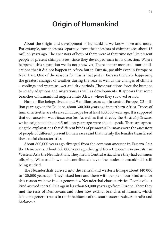## **Origin of Humankind**

About the origin and development of humankind we know more and more. For example, our ancestors separated from the ancestors of chimpanzees about 13 million years ago. The ancestors of both of them were at that time not like present people or present chimpanzees, since they developed each in its direction. Where happened this separation we do not know yet. There appear more and more indications that it did not happen in Africa but in Eurasia, possibly even in Europe or Near East. One of the reasons for this is that just in Eurasia there are happening the greatest changes of weather during the year as well as the changes of climate – coolings and warmins, wet and dry periods. These variations force the humans to steady adaptions and migrations as well as developments. It appears that some branches of humankind migrated into Africa, where they survived or not.

Human-like beings lived about 9 million years ago in central Europe, 7.2 million years ago on the Balkans, about 300,000 years ago in northern Africa. Traces of human activities are observed in Europe for at least 400,000 years ago. It is supposed that our ancestor was *Homo erectus*. As well as that already the *Australopitecines*, which originated about 4.5 million years ago were able to speak. There are appearing the explanations that different kinds of primordial humans were the ancestors of people of different present human races and that mainly the females transferred these racial characteristics.

About 800,000 years ago diverged from the common ancestor in Eastern Asia the Denisovans. About 360,000 years ago diverged from the common ancestor in Western Asia the Neanderthals. They met in Central Asia, where they had common offspring. What and how much contributed they to the modern humankind is still being studied.

The Neanderthals arrived into the central and western Europe about 140,000 to 120,000 years ago. They mixed here and there with people of our kind and for this reason we have in our genom few Neanderthal characteristics. People of our kind arrived central Asia again less than 60,000 years ago from Europe. There they met the rests of Denisovans and other now extinct branches of humans, which left some genetic traces in the inhabitants of the southeastern Asia, Australia and Melanesia.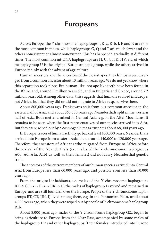## **Europeans**

Across Europe, the Y chromosome haplogroups I, R1a, R1b, J, E and N are now the most common in males, while haplogroups G, Q and T are much fewer and the others nonexistent or almost nonexistent. This has happened gradually, at different times. The most common mt-DNA haplogroups are H, U, J, T, K, HV, etc, of which mt-haplogroup U is the original European haplogroup, while the others arrived in Europe mainly with the advent of agriculture.

Human ancestors and the ancestors of the closest apes, the chimpanzees, diverged from a common ancestor about 13 million years ago. We do not yet know where this separation took place. But human-like, not ape-like teeth have been found in the Rhineland, around 9 million years old, and in Bulgaria and Greece, around 7.2 million years old. Among other data, this suggests that humans evolved in Europe, not Africa, but that they did or did not migrate to Africa resp. survive there.

About 800,000 years ago, Denisovans split from our common ancestor in the eastern half of Asia, and about 360,000 years ago Neanderthals split in the western half of Asia. Both met and mixed in Central Asia, e.g. in the Altai Mountains. It remains to be seen when the first representatives of our species arrived into Asia. But they were wiped out by a cosmogenic mega-tsunami about 68,000 years ago.

In Europe, traces of human activity go back at least 400,000 years. Neanderthals arrived into Europe from western Asia later, around 140,000 to 120,000 years ago. Therefore, the ancestors of Africans who migrated from Europe to Africa before the arrival of the Neanderthals (i.e. males of the Y chromosome haplogroups A00, A0, A1a, A1b1 as well as their females) did not carry Neanderthal genetic traits.

The ancestors of the current members of our human species arrived into Central Asia from Europe less than 60,000 years ago, and possibly even less than 50,000 years ago.

From the original inhabitants, i.e. males of the Y chromosome haplogroups  $BT \to CT \to F \to IJK \to IJ$ , the males of haplogroup I evolved and remained in Europe, and are still found all over the Europe. People of the Y chromosome haplogroups BT, CT, IJK, IJ lived among them, e.g. in the Pannonian Plain, until about 4,000 years ago, when they were wiped out by people of Y chromosome haplogroup R1b.

About 8,000 years ago, males of the Y chromosome haplogroup G2a began to bring agriculture to Europe from the Near East, accompanied by some males of the haplogroup H2 and other haplogroups. Their females introduced into Europe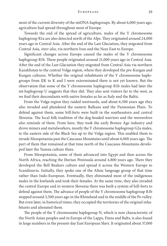most of the current diversity of the mtDNA haplogroups. By about 6,000 years ago, agriculture had spread throughout most of Europe.

Towards the end of the spread of agriculture, males of the Y chromosome haplogroup R1a are also detected north of the Alps. They originated around 24,000 years ago in Central Asia. After the end of the Last Glaciation, they migrated from Central Asia, *inter alia*, via northern Iran and the Near East to Europe.

Significant changes across Europe caused the males of the Y chromosome haplogroup R1b. These people originated around 21,000 years ago in Central Asia. After the end of the Last Glaciation they migrated from Central Asia via northern Kazakhstan to the central Volga region, where they developed the pre-Kurgan and Kurgan cultures. Whether the original inhabitants of the Y chromosome haplogroups from IJK to K and I were exterminated there is not yet known. But the observation that some of the Y chromosome haplogroup R1b males had later the mt-haplogroup U suggests that they did. They also sent visitors far to the west, as we find their descendants with native females as far as Italy and the Baltic.

From the Volga region they raided westwards, and about 6,500 years ago they also invaded and plundered the eastern Balkans and the Pannonian Plain. To defend against them, some hill-forts were built in the southeastern and central Slovenia. The local folk tradition of the dog-headed warriors and the werewolves also reminds of them. From here, they took the early Bronze Age industry and drove miners and metalworkers, mostly the Y chromosome haplogroup G2a males, to the eastern side of the Black Sea up to the Volga region. This enabled them to invade Mesopotamia past the Caucasus Mountains until about 6,000 years ago. The part of them that remained at that time north of the Caucasus Mountains developed later the Yamna culture there.

From Mesopotamia, some of them advanced into Egypt and then across the North Africa, reaching the Iberian Peninsula around 4,800 years ago. There they developed the Bell Beakers culture and spread it across the Western Europe to Scandinavia. Initially, they spoke one of the Altaic language group of that time rather than Indo-European. Eventually, they eliminated most of the indigenous males in the lowlands and took their females. At the same time, they also invaded the central Europe and in western Slovenia there was built a system of hill-forts to defend against them. The advance of people of the Y chromosome haplogroup R1b stopped around 3,500 years ago in the Rhineland and in the middle of the Po valley. But even later, in historical times, they occupied the territories of the original inhabitants and alienated them.

The people of the Y chromosome haplogroup N, which is now characteristic of the North Asian peoples and in Europe of the Lapps, Finns and Balts, is also found in large numbers in the present-day East European Slavs. It originated about 37,000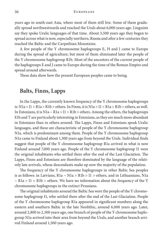years ago in south-east Asia, where most of them still live. Some of them gradually spread northwestwards and reached the Urals about 6,000 years ago. Linguists say they spoke Uralic languages of that time. About 3,500 years ago they began to spread across what is now, especially northern, Russia and after a few centuries they reached the Baltic and the Carpathian Mountains.

A few people of the Y chromosome haplogroups E, H and J came to Europe during the spread of agriculture, but most of them eliminated later the people of the Y chromosome haplogroup R1b. Most of the ancestors of the current people of the haplogroups E and J came to Europe during the time of the Roman Empire and spread around afterwards.

These data show how the present European peoples came to being.

#### **Balts, Finns, Lapps**

In the Lapps, the currently known frequency of the Y chromosome haplogroups is:  $N1a > 11 > R1a > R1b > others$ . In Finns, it is  $N1a > 11 > R1a > R1b > others$ , as well. In Estonians, it is N1a  $\sim$  R1a  $>$  I1  $>$  R1b  $>$  others. Among the others, the haplogroups E1b and T are particularly interesting in Estonians, as they are much more abundant in Estonians than in others around. The Lapps, Finns and Estonians speak Uralic languages, and these are characteristic of people of the Y chromosome haplogroup N1a, which is predominant among them. People of the Y chromosome haplogroup N1a came to Finland about 1,500 years ago from beyond the Urals. Individual finds suggest that people of the Y chromosome haplogroup R1a arrived in what is now Finland around 7,000 years ago. People of the Y chromosome haplogroup I1 were the original inhabitants who settled there after the end of the Last Glaciation. The Lapps, Finns and Estonians are therefore dominated by the language of the relatively late arrivals, whose descendants make up now the majority of the population.

The frequency of the Y chromosome haplogroups in other Baltic Sea peoples is as follows: in Latvians,  $R1a \sim N1a > R1b > I1 >$  others, and in Lithuanians, N1a  $\sim$  R1a > I1 > R1b > others. We have no information about the frequency of the Y chromosome haplogroups in the extinct Prussians.

The original inhabitants around the Baltic Sea were the people of the Y chromosome haplogroup I1, who settled there after the end of the Last Glaciation. People of the Y chromosome haplogroup R1a appeared in significant numbers along the eastern and southern Baltic in the late Neolithic, around 6,000 years ago. Later, around 2,800 to 2,500 years ago, one branch of people of the Y chromosome haplogroup N1a arrived into their area from beyond the Urals, and another branch arrived Finland around 1,500 years ago.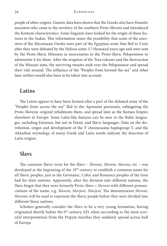people of other origins. Genetic data have shown that the Greeks also have Hamitic ancestors who came to the territory of the southern Proto-Sloveni and introduced the Kentum characteristics. Some linguists have looked for the origin of these features in the Sudan. This information raises the possibility that some of the ancestors of the Mycenaean Greeks were part of the Egyptian army that fled to Crete after they were defeated by the Hyksos some 3.7 thousand years ago and were sent by the Proto-Slavic Minoans as mercenaries to the Proto-Slavic Peloponnese to administer it for them. After the eruption of the Tera volcano and the destruction of the Minoan state, the surviving tenants took over the Peloponnese and spread their rule around. The influence of the "Peoples from beyond the sea" and other later settlers would also have to be taken into account.

#### **Latins**

The Latins appear to have been formed after a part of the defeated army of the "Peoples from across the sea" fled to the Apennine peninsula, subjugating the Proto-Slovenic original inhabitants there, and spread later as the Roman Empire elsewhere in Europe. Some Latin-like features can be seen in the Baltic languages, including Estonian, but not in Finnic and Slavic languages. Data on the distribution, origin and development of the Y chromosome haplogroup T, and the Akkadian etymology of many Greek and Latin words indicate the direction of Latin origins.

#### **Slavs**

The common Slavic term for the Slavs – *Slovani, Sloveni, Slaveni*, etc – was developed at the beginning of the 19<sup>th</sup> century to establish a common name for all Slavic peoples, just as the Germanic, Celtic and Romance peoples of the time had for their nations. Apparently, after the division into different nations, the Slavs forgot that they were formerly Proto-Slavs = *Sloveni* with different pronunciations of the name, e.g. *Slaveni, Slovjeni, Slavjeni*. The denomination *Sloveni, Slovenic* will be used to represent the Slavic people before they were divided into different Slavic nations.

Scholars generally consider the Slavs to be a very young formation, having originated shortly before the  $6<sup>th</sup>$  century AD, when (according to the most scornful interpretation) from the Pripyat marshes they suddenly spread across half of Europe.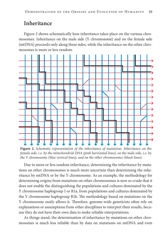#### **Inheritance**

Figure 2 shows schematically how inheritance takes place on the various chromosomes. Inheritance on the male side (Y chromosome) and on the female side (mtDNA) proceeds only along these sides, while the inheritance on the other chromosomes is more or less random.



**Figure 2.** *Schematic representation of the inheritance of mutations. Inheritance on the female side, i.e. by the mitochondrial DNA (pink horizontal lines), on the male side, i.e. by the Y chromosome (blue vertical lines), and on the other chromosomes (black lines).*

Due to more or less random inheritance, determining the inheritance by mutations on other chromosomes is much more uncertain than determining the inheritance by mtDNA or by the Y chromosome. As an example, the methodology for determining origins from mutations on other chromosomes is now so crude that it does not enable the distinguishing the populations and cultures dominated by the Y chromosome haplogroup I or R1a, from populations and cultures dominated by the Y chromosome haplogroup R1b. The methodology based on mutations on the Y chromosome easily allows it. Therefore, genome-wide geneticists often rely on explanations or assumptions from other disciplines to interpret their results, because they do not have their own data to make reliable interpretations.

As things stand, the determination of inheritance by mutations on other chromosomes is much less reliable than by data on mutations on mtDNA and even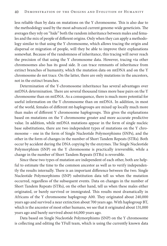less reliable than by data on mutations on the Y chromosome. This is also due to the methodology used by the most advanced current genome-wide geneticists. The averages they rely on "hide" both the random inheritance between males and females and the mix of people of different origins. Only when they can apply a methodology similar to that using the Y chromosome, which allows tracing the origin and dispersal or migration of people, will they be able to improve their explanations somewhat. Because of the randomness of inheritance, this tracing will never reach the precision of that using the Y chromosome data. However, tracing via other chromosomes also has its good side. It can trace remnants of inheritance from extinct branches of humanity, which the mutation data on mtDNA and on the Y chromosome do not trace. On the latter, there are only mutations in the ancestors, not in the extinct branches.

Determination of the Y-chromosome inheritance has several advantages over mtDNA determination. There are several thousand times more base pairs on the Y chromosome than on mtDNA. As a consequence, there is much more potential for useful information on the Y chromosome than on mtDNA. In addition, in most of the world, females of different mt-haplogroups are mixed up locally much more than males of different Y chromosome haplogroups. This gives the explanations based on mutations on the Y chromosome greater and more accurate predictive value. In addition, while mtDNA mutations appear in the form of single nucleic base substitutions, there are two independent types of mutations on the Y chromosome – one in the form of Single Nucleotide Polymorphisms (SNPs), and the other in the form of changes in the number of Short Tandem Repeats (STRs). Both occur by accident during the DNA copying by the enzymes. The Single Nucleotide Polymorphism (SNP) on the Y chromosome is practically irreversible, while a change in the number of Short Tandem Repeats (STRs) is reversible.

Since these two types of mutation are independent of each other, both are helpful to estimate the time to the common ancestor as well as to verify independently the results internally. There is an important difference between the two. Single Nucleotide Polymorphisms (SNP) substitution data tell us when the mutation occurred, regardless of the subsequent events. Data on changes in the number of Short Tandem Repeats (STRs), on the other hand, tell us when these males either originated, or barely survived or immigrated. This results most dramatically in Africans of the Y chromosome haplogroup A00. They originated about 240,000 years ago and survived a near extinction about 700 years ago. With haplogroup BT, which is the ancestor of most other humans, we see that it originated about 131,000 years ago and barely survived about 64,000 years ago.

Data based on Single Nucleotide Polymorphisms (SNP) on the Y chromosome is collecting and editing the YFull team, which is using the currently known data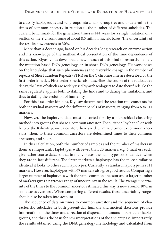to classify haplogroups and subgroups into a haplogroup tree and to determine the times of common ancestry in relation to the number of different subclades. The current benchmark for the generation times is 144 years for a single mutation on a section of the Y chromosome of about 8.5 million nucleic bases. The uncertainty of the results now extends to 30%.

More than a decade ago, based on his decades-long research on enzyme action and his knowledge of the mathematical presentation of the time dependence of this action, Klyosov has developed a new branch of this kind of research, namely the mutation-based DNA genealogy, or, in short, DNA genealogy. His work bases on the knowledge that such phenomena as the reversible change in the number of repeats of Short Tandem Repeats (STRs) on the Y chromosome are described by the first-order kinetics. First-order kinetics also describes the course of the radioactive decay, the laws of which are widely used by archaeologists to date their finds. So the same regularity applies both to dating the finds and to dating the mutations, and thus to dating the evolution of humanity.

For this first-order kinetics, Klyosov determined the reaction rate constants for both individual markers and for different panels of markers, ranging from 6 to 111 markers.

However, the haplotype data must be sorted first by a hierarchical clustering method into groups that share a common ancestor. Then, either "by hand" or with help of the Kilin-Klyosov calculator, there are determined times to common ancestors. Then, to these common ancestors are determined times to their common ancestors, and so on.

In this calculation, both the number of samples and the number of markers in them are important. Haplotypes with fewer than 20 markers, e.g. 6 markers each, give rather coarse data, so that in many places the haplotypes look identical when they are in fact different. The fewer markers a haplotype has the more similar or identical it looks to other such haplotypes. Currently, a standard haplotype has 111 markers. However, haplotypes with 67 markers also give good results. Comparing a larger number of haplotypes with the same common ancestor and a larger number of markers gives a narrower range of uncertainty in the result. The average uncertainty of the times to the common ancestor estimated this way is now around 10%, in some cases even less. When comparing different results, these uncertainty ranges should also be taken into account.

The sequence of data on times to common ancestor and the sequence of characteristic subclades in both present-day humans and ancient skeletons provide information on the times and direction of dispersal of humans of particular haplogroups, and this is the basis for new interpretations of the ancient past. Importantly, the results obtained using the DNA genealogy methodology and calculated from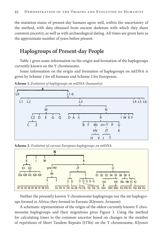the mutation status of present-day humans agree well, within the uncertainty of the method, with data obtained from ancient skeletons with which they share common ancestry, as well as with archaeological dating. All times are given here as the approximate number of years before present.

### **Haplogroups of Present-day People**

Table 1 gives some information on the origin and formation of the haplogroups currently known on the Y chromosome.

Some information on the origin and formation of haplogroups on mtDNA is given by Scheme 1 for all humans and Scheme 2 for Europeans.



**Scheme 1.** *Evolution of haplogroups on mtDNA (humanity).*

**Scheme 2.** *Evolution of current European haplogroups on mtDNA.*



Neither the presently known Y chromosome haplogroups nor the mt-haplogroups formed in Africa; they formed in Eurasia (Klyosov; Árnason).

A schematic representation of the origin of the oldest currently known Y chromosome haplogroups and their migrations gives Figure 3. Using the method for calculating times to the common ancestor based on changes in the number of repetitions of Short Tandem Repeats (STRs) on the Y chromosome, Klyosov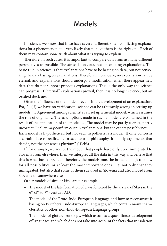## **Models**

In science, we know that if we have several different, often conflicting explanations for a phenomenon, it is very likely that none of them is the right one. Each of them may contain some truth about what it is trying to explain.

Therefore, in such cases, it is important to compare data from as many different perspectives as possible. The stress is on data, not on existing explanations. The basic rule in science is that explanations have to be basing on data, but not censoring the data basing on explanations. Therefore, in principle, no explanation can be eternal, and explanations should undergo a modification when there appear new data that do not support previous explanations. This is the only way the science can progress. If *"*eternal" explanations prevail, then it is no longer science, but an ossified doctrine.

Often the influence of the model prevails in the development of an explanation. For, *"*…(if) we have no verification, science can be arbitrarily wrong in setting up models. … Agreement among scientists can set up a mental model, which assumes the role of dogma. … The assumptions made in such a model are contained in the result of the application of the model. … The model may be partly correct, partly incorrect. Reality may confirm certain explanations, but the others possibly not. … Each model is hypothetical, but not each hypothesis is a model. It only concerns a certain slice of reality. … In science and philosophy, it is only arguments that decide, not the consensus plurium" (Hlebš).

If, for example, we accept the model that people have only ever immigrated to Slovenia from elsewhere, then we interpret all the data in this way and believe that this is what has happened. Therefore, the models must be broad enough to allow for all possibilities, or at least the most important ones. E.g. not only that they immigrated, but also that some of them survived in Slovenia and also moved from Slovenia to somewhere else.

Other models of similar kind are for example:

- The model of the late formation of Slavs followed by the arrival of Slavs in the  $6<sup>th</sup>$  (5<sup>th</sup> to 7<sup>th</sup>) century AD.
- The model of the Proto-Indo-European language and how to reconstruct it basing on Peripheral Indo-European languages, which contain many characteristics of other, non-Indo-European language groups.
- The model of glottochronology, which assumes a quasi-linear development of languages and which does not take into account the facts that in isolation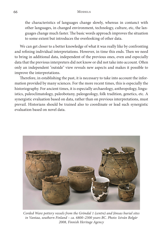the characteristics of languages change slowly, whereas in contanct with other languages, in changed environment, technology, culture, etc, the languages change much faster. The basic words approach improves the situation to some extent but introduces the overlooking of other data.

We can get closer to a better knowledge of what it was really like by confronting and refining individual interpretations. However, in time this ends. Then we need to bring in additional data, independent of the previous ones, even and especially data that the previous interpreters did not know or did not take into account. Often only an independent "outside" view reveals new aspects and makes it possible to improve the interpretations.

Therefore, in establishing the past, it is necessary to take into account the information provided by many sciences. For the more recent times, this is especially the historiography. For ancient times, it is especially archaeology, anthropology, linguistics, paleoclimatology, paleobotany, paleogeology, folk tradition, genetics, etc. A synergistic evaluation based on data, rather than on previous interpretations, must prevail. Historians should be trained also to coordinate or lead such synergistic evaluation based on novel data.



*Corded Ware pottery vessels from the Gröndal 1 (centre) and Jönsas burial sites in Vantaa, southern Finland – ca. 6800–2300 years BC. Photo: István Bolgár 2008, Finnish Heritage Agency*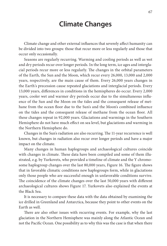## **Climate Changes**

Climate change and other external influences that severely affect humanity can be divided into two groups: those that recur more or less regularly and those that occur only occasionally.

Seasons are regularly recurring. Warming and cooling periods as well as wet and dry periods recur over longer periods. In the long term, ice ages and interglacial periods recur more or less regularly. The changes in the orbital parameters of the Earth, the Sun and the Moon, which recur every 26,000, 13,000 and 2,000 years, respectively, are the main cause of them. Every 26,000 years changes in the Earth's precession cause repeated glaciations and interglacial periods. Every 13,000 years, differences in conditions in the hemispheres do occur. Every 2,000 years, cooler wet and warmer dry periods occur due to the simultaneous influence of the Sun and the Moon on the tides and the consequent release of methane from the ocean floor due to the Sun's and the Moon's combined influence on the tides and the consequent release of methane from the ocean floor. All these changes repeat in 92,000 years. Glaciations and warmings in the Southern Hemisphere do not have much effect on sea level, but glaciations and warming in the Northern Hemisphere do.

Changes in the Sun's radiation are also recurring. The 11-year recurrence is well known, but changes in radiation also recur over longer periods and have a major impact on the climate.

Many changes in human haplogroups and archaeological cultures coincide with changes in climate. These data have been compiled and some of them illustrated, e.g. by Yurkovets, who provided a timeline of climate and the Y chromosome haplogroup changes over the last 80,000 years, Figure 16. The figure shows that in favorable climatic conditions new haplogroups form, while in glaciations only those people who are successful enough in unfavorable conditions survive. The coincidence of the climate changes over the last 50,000 years with different archaeological cultures shows Figure 17. Yurkovets also explained the events at the Black Sea.

It is necessary to compare these data with the data obtained by examining the ice drilled in Greenland and Antarctica, because they point to other events on the Earth as well.

There are also other issues with recurring events. For example, why the last glaciation in the Northern Hemisphere was mainly along the Atlantic Ocean and not the Pacific Ocean. One possibility as to why this was the case is that when there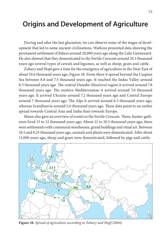## **Origins and Development of Agriculture**

During and after the last glaciation, we can observe some of the stages of development that led to some ancient civilizations. Watkins presented data showing the permanent settlement of fishers around 20,000 years ago along the Lake Gennesaret. He also showed that they domesticated in the Fertile Crescent around 10.5 thousand years ago several types of cereals and legumes, as well as sheep, goats and cattle.

Zohary and Hopf gave a time for the emergence of agriculture in the Near East of about 10.6 thousand years ago, Figure 18. From there it spread beyond the Caspian Sea between 8.8 and 7.5 thousand years ago. It reached the Indus Valley around 8.3 thousand years ago. The central Danube (Starčevo) region it arrived around 7.8 thousand years ago. The western Mediterranean it arrived around 7.6 thousand years ago. It arrived Ukraine around 7.2 thousand years ago and Central Europe around 7 thousand years ago. The Alps it arrived around 6.5 thousand years ago, whereas Scandinavia around 5.6 thousand years ago. These data point to an earlier spread towards Central Asia and India than towards Europe.

Mann also gave an overview of events in the Fertile Crescent. There, hunter-gatherers lived 15 to 12 thousand years ago. About 12 to 10.5 thousand years ago, there were settlements with communal storehouses, grand buildings and ritual art. Between 10.5 and 8.25 thousand years ago, animals and plants were domesticated. After about 11,000 years ago, sheep and goats were domesticated, followed by pigs and cattle.



**Figure 18.** *Spread of agriculture according to Zohary and Hopf (2004).*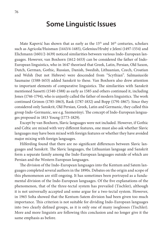## **Some Linguistic Issues**

Mate Kapović has shown that as early as the 15<sup>th</sup> and 16<sup>th</sup> centuries, scholars such as Agricola/Huisman (1443/4-1485), Gelenius/Hrubý z Jelení (1497-1554) and Elichmann (1601/2-1639) noticed similarities between various Indo-European languages. However, van Boxhorn (1612-1653) can be considered the father of Indo-European linguistics, who in 1647 theorised that Greek, Latin, Persian, Old Saxon, Dutch, German, Gothic, Russian, Danish, Swedish, Lithuanian, Czech, Croatian and Welsh (but not Hebrew) were descended from "Scythian". Salmasius/de Saumaise (1588-1653) added Sanskrit to these. Van Boxhorn also drew attention to important elements of comparative linguistics. The similarities with Sanskrit mentioned Sassetti (1540-1588) as early as 1585 and others continued it, including Jones (1746-1794), who is unjustly called the father of modern linguistics. The work continued Grimm (1785-1863), Rask (1787-1832) and Bopp (1791-1867). Since they considered only Sanskrit, Old Persian, Greek, Latin and Germanic, they called this group Indo-Germanic, see e.g. Szemerényi. The concept of Indo-European languages proposed in 1813 Young (1773-1829).

Except by van Boxhorn, Slavic languages were not included. However, if Gothic and Celtic are mixed with very different features, one must also ask whether Slavic languages may have been mixed with foreign features or whether they have avoided major mixing with foreign languages.

Hilferding found that there are no significant differences between Slavic languages and Sanskrit. The Slavic languages, the Lithuanian language and Sanskrit form a separate family among the Indo-European languages outside of which are Persian and the Western European languages.

The division of the Indo-European languages into the Kentum and Satem languages completed several authors in the 1890s. Debates on the origin and scope of this phenomenon are still ongoing. It has sometimes been portrayed as a fundamental division of the Indo-European languages. Of the five explanations of the phenomenon, that of the three-tectal system has prevailed (Tischler), although it is not universally accepted and some argue for a two-tectal system. However, in 1965 Solta showed that the Kentum-Satem division had been given too much importance. This criterion is not suitable for dividing Indo-European languages into two clearly defined groups, as it is only one of many isoglosses (Tischler). More and more linguists are following this conclusion and no longer give it the same emphasis as before.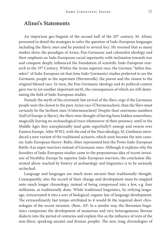#### **Alinei's Statements**

An important geo-linguist of the second half of the 20th century, M. Alinei, presented in detail the strategies to solve the question of Indo-European languages including the Slavic ones and he pointed to several foci. He stressed that as many studies show, the paradigm of Arian, Pan-Germanic and colonialist ideology and their emphasis on Indo-Europeans racial superiority with inclination towards war and conquest deeply influenced the foundation of scientific Indo-European research in the 19<sup>th</sup> Century. Within the Arian superior race, the German "father-founders" of Indo-European (at that time Indo-Germanic) studies preferred to see the Germanic people as the supermen (Herrenvolk), the purest and the closest to the original blessed race. In turn, the Pan-Germanic ideology and its political context gave rise to yet another important myth, the consequences of which are still dominating the field of Indo-European studies.

Namely the myth of the extremely late arrival of the Slavs, ergo if the Germanic people were the closest to the pure Arian race (Übermenschen), then the Slavs must certainly be the farthest ones (Untermenschen)! Despite their enormous numbers (half of Europe is Slavic), the Slavs were thought of having been hidden somewhere, magically leaving no archaeological trace whatsoever of their presence, until in the Middle Ages they unexplainably (and quite regretfully!) emerge and swarm over Eastern Europe. After WW2, with the end of the Nazi ideology, M. Gimbutas introduced a new variant of the traditional scenario, which soon became the new canonic Indo-European theory: Baltic élites represented best the Proto-Indo-European Battle-Axe super-warriors instead of Germanic ones. Although it explains why the founders of Indo-European studies came to the preposterous idea of recent invasions of Neolithic Europe by superior Indo-European warriors, the conclusion illustrated above reached by history of archaeology and linguistics is to be seriously rechecked.

Language and languages are much more ancient than traditionally thought. Consequently, also the record of their change and development must be mapped onto much longer chronology, instead of being compressed into a few, e.g. four millennia, as traditionally done. While traditional linguistics, by reifying language, reincarnated it into a sort of biological, organic law of language development. The extraordinarily fast tempo attributed to it would fit the required short chronologies of the recent invasion. (Rem. AP: In a similar way, the Slovenian linguistics compresses the development of numerous and very heterogeneous Slovene dialects into the period of centuries and explain this as the influence of rests of the non-Slavic speaking ancient and Roman people). The new, long chronologies of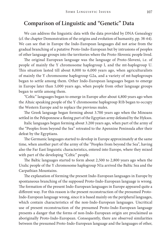#### **Comparison of Linguistic and "Genetic" Data**

We can address the linguistic data with the data provided by DNA Genealogy (cf. the chapter Demonstration of the origins and evolution of humanity, pp. 38-64). We can see that in Europe the Indo-European languages did not arise from the gradual branching of a putative Proto-Indo-European but by intrusions of peoples of other language groups into the territories where the Proto-Slovenic people lived.

The original European language was the language of Proto-Sloveni, i.e. of people of mainly the Y chromosome haplogroup I, and the mt-haplogroup U. This situation lasted till about 8,000 to 6,000 years ago, when agriculturalists of mainly the Y chromosome haplogroup G2a, and a variety of mt-haplogroups began to settle among them. Other Indo-European languages began to emerge in Europe later than 5,000 years ago, when people from other language groups began to settle among them.

*"*Celtic" languages began to emerge in Europe after about 4,800 years ago when the Altaic speaking people of the Y chromosome haplogroup R1b began to occupy the Western Europe and to replace the previous males.

The Greek language began forming about 3.700 years ago when the Minoans settled in the Peloponnese a fleeing part of the Egyptian army defeated by the Hyksos.

Italic languages began forming about 3.200 years ago, when part of the army of the "Peoples from beyond the Sea" retreated to the Apennine Peninsula after their defeat by the Egyptians.

The Germanic languages started to develop in Europe approximately at the same time, when another part of the army of the "Peoples from beyond the Sea", having also the Far East linguistic characteristics, entered into Europe, where they mixed with part of the developing "Celtic" people.

The Baltic languages started to form about 2,500 to 2,800 years ago when the Uralic people of the Y chromosome haplogroup N1a arrived the Baltic Sea and the Carpathian Mountains.

The explanation of forming the present Indo-European languages in Europe by spontaneous branching of the supposed Proto-Indo-European language is wrong. The formation of the present Indo-European languages in Europe appeared quite a different way. For this reason is the present reconstruction of the presumed Proto-Indo-European language wrong, since it is based mainly on the peripheral languages, which contain characteristics of the non-Indo-European languages. Uncritical use of present reconstruction of the presumed Proto-Indo-European language presents a danger that the forms of non-Indo-European origin are proclaimed as aboriginally Proto-Indo-European. Consequently, there are observed similarities between the presumed Proto-Indo-European language and the languages of other,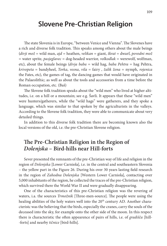## **Slovene Pre-Christian Religion**

The state Slovenia is in Europe, "between Venice and Vienna". The Slovenes have a rich and diverse folk tradition. This speaks among others about the male beings (*divji mož* = wild man, *ajd* = heathen, *velikan* = giant, *škrat* = dwarf, *povodni mož* = water sprite, *pasjeglavec* = dog-headed warrior, *volkodlak* = werewolf, wolfman, etc), about the female beings (*divja baba* = wild hag, *baba Pehtra* = hag Pehtra, *krivopeta* = bandyheel, *Torka*, *vesna*, *vila* = fairy , *žalik žena* = nymph, *rojenica* the Fates, etc), the games of tag, the dancing games that would have originated in the Palaeolithic; as well as about the tools and accessories from a time before the Roman occupation, etc. (Baš)

The Slovene folk tradition speaks about the "wild men" who lived at higher altitudes, i.e. on a hill or a mountain; see e.g. Šavli. It appears that these "wild men" were hunters/gatherers, while the "wild hags" were gatherers, and they spoke a language, which was similar to that spoken by the agriculturists in the valleys. According to the Slovene folk tradition, they were able to communicate about very detailed things.

In addition to this diverse folk tradition there are becoming known also the local versions of the old, i.e. the pre-Christian Slovene religion.

### **The Pre-Christian Religion in the Region of**  *Dolenjska* **– Bird-hills near Hill-forts**

Sever presented the remnants of the pre-Christian way of life and religion in the region of *Dolenjska* [Lower Carniola], i.e. in the central and southeastern Slovenia – the yellow part in the Figure 26. During his over 30 years lasting field research in the region of *Zahodna Dolenjska* [Western Lower Carniola], contacting over 5,000 inhabitants of the region, he collected the traces of the pre-Christian religion, which survived there the World War II and were gradually disappearing.

One of the characteristics of this pre-Christian religion was the revering of waters, i.a. the sources *Trmožnik* [Three-men-source]. The people were using the healing abilities of the holy waters well into the 20<sup>th</sup> century AD. Another characteristc was the believing that the birds, especially the cranes, carry the souls of the deceased into the sky, for example onto the other side of the moon. In this respect there is characteristic the often appearence of pairs of hills, i.e. of *gradišča* [hill- -forts] and nearby *tičnice* [bird-hills].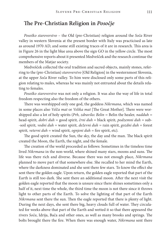#### **The Pre-Christian Religion in** *Posočje*

*Posoško staroverstvo* – the Old (pre-Christian) religion around the *Soča* River valley in western Slovenia at the present border with Italy was practicised as late as around 1970 AD, and some still existing traces of it are in research. This area is in Figure 26 in the light blue area above the sign GO in the yellow circle. The most comprehensive reports about it presented Medvešček and the research continue the members of the Matjar society.

Medvešček collected the oral tradition and sacred objects, mainly stones, referring to the (pre-Christian) *staroverstvo* [Old Religion] in the westernmost Slovenia, at the upper *Soča* River valley. To him were disclosed only some parts of this religion relating to males, whereas he was mainly not entrusted about the details relating to females.

*Posoško staroverstvo* was not only a religion. It was also the way of life in total freedom respecting also the freedom of the others.

There was worshipped only one god, the goddess *Nikrmana*, which was named in some places also *Velča mat* or *Velika mat* [The Great Mother]. There were worshipped also a lot of holy spirits (*Prh, zdravilec Belin =* Belin the healer*, nadduh =*  head-spirit*, dobri duh =* good spirit*, črni duh =* black spirit*, podzemni duh =* sub- -soil spirit*, vodni duh =* water spirit*, deževni duh =* rain spirit*, gozdni duh =* forest spirit*, veterni duh =* wind spirit*, ognjeni duh =* fire spirit, etc).

The good spirit created the Sun, the sky, the day and the man. The black spirit created the Moon, the Earth, the night, and the female.

The creation of the world proceeded as follows: Sometimes in the timeless time lived *Nikrmana* in the non-world, where shined many stars, moons and suns. The life was there rich and diverse. Because there was not enough place, *Nikrmana* planned to move part of that somewhere else. She recalled to her mind the Earth, where the darkness dominated and she sent there few stars. To know the effect she sent there the golden eagle. Upon return, the golden eagle reported that part of the Earth is still too dark. She sent there an additional moon. After the next visit the golden eagle reported that the moon is unsure since there shines sometimes only a half of it, next time the whole, the third time the moon is not there since it throws light to other parts of the Earth. To solve the lighting of that part of the Earth *Nikrmana* sent there the sun. Then the eagle reported that there is plenty of light. During the next days, she sent there big, heavy clouds full of water. They circulated for weeks above that part of the Earth and wetted it so that there appeared the rivers *Soča*, Idrija, Bača and other ones, as well as many brooks and springs. The bolts brought there the fire. When there was enough water, *Nikrmana* sent there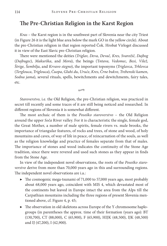#### **The Pre-Christian Religion in the Karst Region**

*Kras* – the Karst region is in the southwest part of Slovenia near the city Triest (in Figure 26 it is the light blue area below the mark GO in the yellow circle). About the pre-Christian religion in that region reported Čok. Hrobat Virloget discussed it in view of the East Slavic pre-Christian religion.

There were mentioned the deities (*Triglav, Deva, Devač, Kres, Svarožič, Dajbog* (*Dajbugec*), *Makurška*, and *Mora*), the beings (T*ntava, Vedomec, Besi, Vilež, Štrige, Šembilja*, and *Krvavo stegno*), the important toponyms (*Triglavca*, *Trhlovca* (*Terglouca*, *Triglouca*), *Čuopa*, *Gluhi du*, *Uruće*, *Kres*, *Črne bukve*, *Trebenski kamen*, *Sodna jama*), several rituals, spells, bewitchments and dewitchments, fairy tales, etc.

*Staroverstvo*, i.e. the Old Religion, the pre-Christian religion, was practiced in secret till recently and some traces of it are still being noticed and researched. In different regions of Slovenia it is somewhat different.

 $\rightarrow$ 

The most archaic of them is the *Posoško staroverstvo* – the Old Religion around the upper *Soča* River valley. For it is characteristic the single, female god, the Great Mother, a number of male spirits, female rivers vs. male brooks, the importance of triangular features, of rocks and trees, of stone and wood, of holy mountains and caves, of way of life in peace, of reincarnation of the souls, as well as the religion knowledge and practice of females separate from that of males. The importance of stones and wood indicates the continuity of the Stone Age tradition, since there were revered and used such stones as they appear in finds from the Stone Age.

In view of the independent novel observations, the roots of the *Posoško staroverstvo* derive from more than 70,000 years ago in this and surrounding regions. The independent novel observations are i.a.:

- $\blacktriangleright$  The cosmogenic mega-tsunami of 71,000 to 57,000 years ago, most probably about 68,000 years ago, coincident with MIS 4, which devastated most of the continents but leaved in Europe intact the area from the Alps till the Carpathian mountains including the three regions of present Slovenia mentioned above, cf. Figure 4, p. 45;
- ▶ The observation in old skeletons across Europe of the Y chromosome haplogroups (in parentheses the approx. time of their formation (years ago): BT (130,700), CT (88,000), C (65,900), F (65,900), HIJK (48,500), IJK (48,500) and IJ (47,200), I (42,900).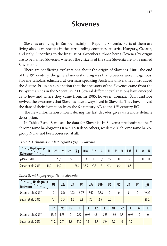## **Slovenes**

Slovenes are living in Europe, mainly in Republic Slovenia. Parts of them are living also as minorities in the surrounding countries, Austria, Hungary, Croatia, and Italy. According to the linguist M. Greenberg, those being Slovenes by origin are to be named Slovenes, whereas the citizens of the state Slovenia are to be named Slovenians.

There are conflicting explanations about the origin of Slovenes. Until the end of the 19<sup>th</sup> century, the general understanding was that Slovenes were indigenous. Slovene scholars educated at German-speaking Austrian universities introduced the Austro-Prussian explanation that the ancestors of the Slovenes came from the Pripyat marshes in the 6<sup>th</sup> century AD. Several different explanations have emerged as to how and where they came from. In 1985, however, Tomažič, Šavli and Bor revived the awareness that Slovenes have always lived in Slovenia. They have moved the date of their formation from the  $6<sup>th</sup>$  century AD to the 12<sup>th</sup> century BC.

The new information known during the last decades gives us a more definite description.

In Tables 7 and 8 we see the data for Slovenia. In Slovenia predominate the Y chromosome haplogroups  $R1a > I > R1b \gg$  others, while the Y chromosome haplogroup N has not been observed at all.

| Haplogroup<br>Reference | $\mathsf{I}$ | $ 2^* + 12a $ | 12 <sub>b</sub> | $\mathbf{\nabla}$ | R <sub>1</sub> a | R <sub>1</sub> b | G   | J2  | $J^* + J1$ | E <sub>1</sub> b |  |  |
|-------------------------|--------------|---------------|-----------------|-------------------|------------------|------------------|-----|-----|------------|------------------|--|--|
| ydna.eu 2015            | $\Omega$     | 20,5          |                 | 21                | 38               | 18               | 1,5 |     |            |                  |  |  |
| Zupan et alt. 2013      | 11.9         | 14,9          |                 | 28,2              | 37,5             | 20,3             |     | 5,3 | 0,2        |                  |  |  |

**Table 7.** *Y chromosome haplogroups (%) in Slovenia.*

| Haplogroup<br>Reference | U <sub>1</sub> | U <sub>2e</sub> | U <sub>3</sub> | U <sub>4</sub> |      | U5a | U5 <sub>b</sub> |      | U <sub>6</sub> |  | U <sub>7</sub> | U8           | U*           | ∑∪       |
|-------------------------|----------------|-----------------|----------------|----------------|------|-----|-----------------|------|----------------|--|----------------|--------------|--------------|----------|
| Ottoni et alt. (2011)   | $\mathbf{0}$   | 0.96            | 1,92           | 5,77           | 7,69 |     | 2,88            |      | $\mathbf{0}$   |  | 0              | $\mathbf{0}$ | 0            | 19,22    |
| Zupan et alt. 2015      | 1,4            | 3,5             | 2,6            | 2,8            |      | 7,3 | 2,5             |      | 0,2            |  |                |              |              | 26,2     |
|                         |                |                 |                |                |      |     |                 |      |                |  |                |              |              |          |
|                         | $H^*$          | HV <sub>0</sub> | HV             |                | T1   |     | T2              | K    | N <sub>1</sub> |  | N <sub>2</sub> | X            | M            |          |
| Ottoni et alt. (2011)   | 47,12          | 6,73            | 0              | 9,62           | 0.96 |     | 4,81            | 3,85 | 1,92           |  | 4,81           | 0.96         | $\mathbf{0}$ | $\theta$ |
| Zupan et alt. 2015      | 11,2           | 2,7             | 3,8            | 11,2           | 1,9  |     | 8,7             | 5,9  | 1,9            |  | $\mathbf{0}$   | 1,2          |              |          |

**Table 8.** *mt haplogroups (%) in Slovenia.*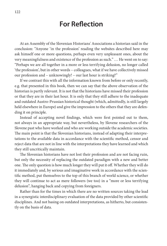## **For Reflection**

At an Assembly of the Slovenian Historians' Associations a historian said in the conclusion: "Anyone 'in the profession' reading the websites described here may ask himself one or more questions, perhaps even very unpleasant ones, about the very meaningfulness and existence of the profession as such." … He went on to say: "Perhaps we are all together in a more or less terrifying delusion, no longer called 'the profession', but in other words – colleagues, what if we have collectively missed our profession and – unknowingly! – our last hour is striking?"

If we contrast this with all the information known from before or only recently, e.g. that presented in this book, then we can say that the above observation of the historian is partly relevant. It is not that the historians have missed their profession or that they are in their last hour. It is only that they still adhere to the inadequate and outdated Austro-Prussian historical thought (which, admittedly, is still largely held elsewhere in Europe) and give the impression to the others that they are defending it on principle.

Instead of accepting novel findings, which were first pointed out to them, not always in an appropriate way, but nevertheless, by Slovene researchers of the Slovene past who have worked and who are working outside the academic societies. The main point is that the Slovenian historians, instead of adapting their interpretations to the available data in accordance with the scientific method, censor and reject data that are not in line with the interpretations they have learned and which they still uncritically maintain.

The Slovenian historians have not lost their profession and are not facing ruin, but only the necessity of replacing the outdated paradigm with a new and better one. The only question is how much longer they will put it off. Whether they will do it immediately and, by serious and imaginative work in accordance with the scientific method, put themselves to the top of this branch of world science, or whether they will continue to act as mere followers (we too) in a "more or less terrifying delusion", hanging back and copying from foreigners.

Rather than for the times in which there are no written sources taking the lead in a synergistic interdisciplinary evaluation of the data provided by other scientific disciplines. And not basing on outdated interpretations, as hitherto, but consistently on the basis of data.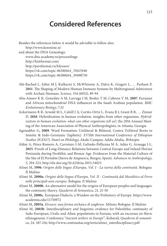## **Considered References**

Besides the references below it would be advisible to follow also: http://www.korenine.si/ and about the DNA Genealogy: www.dna-academy.ru/proceedings http://histformat.com/ http://pereformat.ru/klyosov/ https://vk.com/topic-86388164\_35615940 https://vk.com/topic-86388164\_39498730

- Abi-Rached L, Jobin M J, Kulkarni S, McWhinnie A, Dalva K, Gragert L, … Parham P, **2011**. The Shaping of Modern Human Immune Systems by Multiregional Admixture with Archaic Humans. *Science,* 334 (6052), 89-94
- Abu-Amero K K, González A M, Larruga J M, Bosley T M, Cabrera V M, **2007**. Eurasian and African mitochondrial DNA influences in the Saudi Arabian population. *BMC Evolutionary Biology*, 7:32
- Ackermann R R, Arnold M L, Cahill J A, Cortés-Ortiz L, Evans B J, Grant B R, … Zinner D, **2018**. Hybridization in human evolution: insights from other organisms. *Hybridization in human evolution: what can other organisms tell us?*, the 2016 Annual Meeting of the American Association of Physical Anthropologists, in Atlanta, Georgia
- Agziaabhir G, **2009**. Word Formation: Uniliteral & Biliteral, Contra Triliteral Roots in Semitic & Indo-Germanic (Iaphetic). *XVIIth International Conference of Ethiopian Studies (ICES17), Panel on Philology*, Akaki Campus, Addis Ababa, Æthiopia
- Alday A, Pérez-Romero A, Carretero J-M, Galindo-Pellicena M Á, Adán G, Arsuaga J-L, **2015**. Proofs of Long-Distance Relations between Central Europe and Inland Iberian Peninsula during Neolithic and Bronze Age. Evidences from the Material Culture of the Site of El Portalón (Sierra de Atapuerca, Burgos, Spain). *Advances in Anthropology*, 5, 294-323, http://dx.doi.org/10.4236/aa.2015.54023
- Alinei M, **1996**. *Origini delle lingue d'Europa, Vol. I La teoria della continuità*. Bologna: Il Mulino
- Alinei M, **2000a**. *Origini delle lingue d'Europa, Vol. II Continuità dal Mesolitico al Ferro nelle principali aree europee*. Bologna: Il Mulino
- Alinei M, **2000b**. An alternative model for the origins of European peoples and languages: the continuity theory. *Quaderni di Semantica*, 21, 21-50
- Alinei M, **2000c**. European Dialects: a Window on the Prehistory of Europe. https://www. academia.edu/11750972
- Alinei M, **2003a**. *Etrusco: una forma archaico di unghrese*. Milano-Bologna: Il Mulino
- Alinei M, **2003b**. Interdisciplinary and linguistic evidence for Paleolithic continuity of Indo-European, Uralic and Altaic populations in Eurasia, with an excursus on Slavic ethnogenesis. Conference "*Ancient settlers in Europe*", Kobarid; *Quaderni di semantica*, 24, 187-216; http://www.continuitas.org/texts/alinei\_interdisciplinary.pdf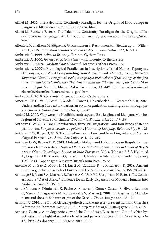- Alinei M, **2012**. The Paleolithic Continuity Paradigm for the Origins of Indo-European Languages. http://www.continuitas.org/intro.html
- Alinei M, Benozzo F, **2016**. The Paleolithic Continuity Paradigm for the Origins of Indo-European Languages. An Introduction in progress. www.continuitas.org/intro. html
- Allentoft M E, Sikora M, Sjögren K-G, Rasmussen S, Rasmussen M, J Stenderup, … Willerslev E, **2015**. Population genomics of Bronze Age Eurasia. *Nature* 522**,** 167–172
- Ambrozic A, **1999**. *Adieu to Brittany*. Toronto: Cythera Press
- Ambrozic A, **2000**. *Journey back to the Garumna*. Toronto: Cythera Press
- Ambrozic A, **2002a**. *Gordian Knot Unbound*. Toronto: Cythera Press, 1-57
- Ambrozic A, **2002b**. Etymological Parallelism in Inscriptions, Tribal Names, Toponyms, Hydronyms, and Word Compounding from Ancient Gaul. *Zbornik prve mednarodne konference Veneti v etnogenezi srednjeevropskega prebivalstva* [*Proceedings of the first international topical conference The Veneti within the Ethnogenesis of the Central-European Population*]. Ljubljana: Založnišvo Jutro, 131-149, http://www.korenine.si/ zborniki/zbornik01/htm/ambrozic\_gaul.htm
- Ambrozic A, **2010**. *The Templar's curse*. Toronto: Cythera Press
- Amorim C E G, Vai S, Posth C, Modi A, Koncz I, Hakenbeck S, … Veeramah K R, **2018**. Understanding 6th-century barbarian social organization and migration through paleogenomics. *Nature Communications*, 9, 3547
- Andrič M, **2007**. Why were the Neolithic landscapes of Bela krajina and Ljubljana Marshes regions of Slovenia so dissimilar? *Documenta Praehistorica* 34, 177-189
- Anthony D W, **2013**. Two IE phylogenies, three PIE migrations, and four kinds of steppe pastoralism. *Вопросы языкового родства* [*Journal of Language Relationship*], 9, 1-21
- Anthony D W, Ringe D, **2015**. The Indo-European Homeland from Linguistic and Archaeological Perspectives. *Annu. Rev. Linguist*. 1, 199–219
- Anthony D W, Brown D R, **2017**. Molecular biology and Indo-European linguistics: Impressions from new data. *Usque ad Radices: Indo-European Studies in Honor of Birgitt Anette Olsen, Copenhagen Studies in Indo-European*. Vol. 8 (Hansen B S S, Hyllested A, Jørgensen AR, Kroonen, G, Larsson J H, Nielsen Whitehead B, Olander T, Søborg T M, Eds.), Copenhagen: Museum Tusculanum Press, 25-54
- Antonio M L, Gao Z, Moots H M, Lucci M, Candilio F, … Pritchard J K, **2019**. Ancient Rome: A genetic crossroads of Europe and the Mediterranean. S*cience* 366, 708–714
- Armitage S J, Jasim S A, Marks A E, Parker A G, Usik V I, Uerpmann H-P, **2011**. The Southern Route "Out of Africa": Evidence for an Early Expansion of Modern Humans into Arabia. *Science* 331, 453-456
- Arnaiz-Villena A, Dimitroski K, Pacho A, Moscoso J, Gómez-Casado E, Silvera-Redondo C, Varela P, Blagoevska M, Zdravkovska V, Martın J, **2001**. HLA genes in Macedonians and the sub-Saharan origin of the Greeks. *Tissue Antigens 57*, 118–127
- Árnason Ú, **2016**. The Out of Africa hypothesis and the ancestry of recent humans: Cherchez la femme (et l'homme). *Gene*, 585. 9–12, http://dx.doi.org/10.1016/j.gene.2016.03.018
- Árnason Ú, **2017**. A phylogenetic view of the Out of Asia/Eurasia and Out of Africa hypotheses in the light of recent molecular and palaeontological finds. *Gene*, 627, 473– 476, http://dx.doi.org/10.1016/j.gene.2017.07.006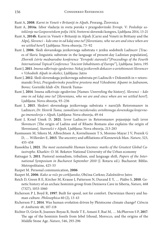Rant A, **2008**. *Karni in Veneti v Britaniji in Alpah*, Prorang, Žirovnica

- Rant A, **2014a**. Izbor vladarja in sveta poroka v prazgodovinski Evropi. V: *Poslednje ustoličenje na Gosposvetskem polju 1414*, Svetovni slovenski kongres, Ljubljana 2014, 13-21
- Rant A, **2014b**. Karni in Veneti v Britaniji in Alpah [Carni and Veneti in Brittany and the Alps], *Slovenci – kdo smo in od kdaj smo tu?* [*Slovenians, who we are and since when are we settled here?*] Ljubljana: Nova obzorja, 73–92
- Rant J, **2006**. Sledi slovanskega jezikovnega substrata v jeziku sodobnih Ladincev [Traces of Slavic linguistic substrate in the language of present-day Ladinian population], *Zbornik četrte mednarodne konference "Evropski staroselci*"[*Proceedings of the Fourth International Topical Conference "Ancient Inhabitants of Europe*"], Ljubljana: Jutro, 195
- Rant J, **2011**. *Imena odkrivajo zgodovino: Nekaj jezikovnih dokazov o avtohtonosti Slovencev v Vzhodnih Alpah in okolici*, Ljubljana: Jutro
- Rant J, **2012**. Sledi slovenskega jezikovnega substrata pri Ladincih v Dolomitih in v retoromanski Švici, *Prazgodovinske poselitve prostora med Vzhodnimi Alpami in Jadranom*, Bovec: Gorniški klub »Dr. Henrik Tuma«
- Rant J, **2014**. Imena odkrivajo zgodovino [Names: Unreveling the history]. *Slovenci kdo smo in od kdaj smo tu?* [*Slovenians, who we are and since when are we settled here?*]. Ljubljana: Nova obzorja, 93–236
- Rant J, **2015**. Sledovi slovenskega jezikovnega substrata v narečjih Retoromanov in Ladincev, *Dr. Henrik Tuma, zamolčani raziskovalec avtohtonega slovenskega krajevnega imenoslovja v Alpah*, Ljubljana: Nova obzorja, 49-64
- Rant J, Krnel Umek D, **2021**. Izvor Ladincev in Retoromanov pojasnjuje tudi izvor Slovencev [The origin of Ladins and of Rhaeto Romans also explains the origin of Slovenians]. *Staroselci v Alpah*, Ljubljana: Nova obzorja, 213-283
- Rasmussen M, Sikora M, Albrechtsen A, Korneliussen T S, Moreno-Mayar J V, Poznik G D, … Willerslev E, **2015**. The ancestry and affiliations of Kennewick Man. *Nature*, 523, 455-458
- Rassokha I, **2021**. *The most sustainable Human lexemes: marks of the Greatest Global Catastrophe*. Kharkiv: O. M. Beketov National University of the Urban economy
- Ratnagar S, **2011**. Pastoral nomadism, tribalism, and language shift, *Papers of the International Symposium in Bucharest September 2010* (J. Rotaru ed.). Bucharest: Biblio. Metropolitaine, 425-53
- Razpet M. Personal communication, **2006**
- Razpet M, **2006**. *Kako se reče po cerkljansko*, Občina Cerkno; Založništvo Jutro
- Reich D, Green R E, Kircher M, Krause J, Patterson N, Durand E Y, … Pääbo S, **2010**. Genetic history of an archaic hominin group from Denisova Cave in Siberia, *Nature*, 468 (7327), 1053-1060
- Richerson P J, Boyd R, **1997**. Built for speed, not for comfort. Darwinian theory and human culture. *Philosophica* 60 (2), 13-43
- Richerson P J, **2014**. Was human evolution driven by Pleistocene climate change? *Ciência & Ambiente* 48, 107-118
- Richter D, Grün R, Joannes-Boyau R, Steele T E, Amani F, Rué M, … McPherron S P, **2017**. The age of the hominin fossils from Jebel Irhoud, Morocco, and the origins of the Middle Stone Age. *Nature*, 546, 293-296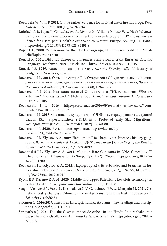- Roebroeks W, Villa P, **2011**. On the earliest evidence for habitual use of fire in Europe. *Proc. Natl Acad. Sci. USA,* 108 (13), 5209-5214
- Rohrlach A B, Papac L, Childebayeva A, Rivollat M, Villalba-Mouco V, … Haak W, **2021**. Using Y-chromosome capture enrichment to resolve haplogroup H2 shows new evidence for a two-path Neolithic expansion to Western Europe. *Sci. Rep.* 11, 15005, https://doi.org/10.1038/s41598-021-94491-z
- Roper L D, **2008**. Y-Chromosome Bialletic Haplogroups, http://www.roperld.com/YBiallelicHaplogroups.htm
- Rouard X, **2021**. Did Indo-European Languages Stem From a Trans-Eurasian Original Language. *Academia Letters*, Article 1645. https://doi.org/10.20935/AL1645.
- Roucek J S, **1949**. Autochthonism of the Slavs, *Slavonic Encyclopaedia*, University of Bridgeport, New York, 75 – 78
- Rozhanskii I L, **2011**. Отзыв на статью Р А Омариевой »Об удивительных и неожиданных языковых совпадениях между лакским и аккадским языками*«*, *Вестник Российской Академии ДНК-генеалогии*, 4 (8), 1594-1603
- Rozhanskii I L **2015**. Кто такие немцы? Ономастика и ДНК-генеалогия [Who are «Nemtsi»? Onomastics and DNAGenealogy]. *Исторический формат* [*Historical format*].3. 78-106.
- Rozhanskii I L **2016**. http://pereformat.ru/2016/09/rezultaty-testirovaniya/#comment-16154, 10. 9. 2016, 11:07.
- Rozhanskii I L **2018**. Славянские супер-ветви: Y-ДНК как маркер ранних миграций славян [Slav Super-Branches: Y-DNA as a Probe of early Slav Migrations]. *Исторический формат* [ *Historical format*] 1-2. 60-80.
- Rozhanskii I L, **2020.**, Бутылочное горлышко. https://vk.com/topic-86388164\_35615940?offset=5320
- Rozhanskii I L, Klyosov A A, **2009**. Haplogroup R1a1: haplotypes, lineages, history, geography, *Вестник Российской Академии ДНК-генеалогии* [*Proceedings of the Russian Academy of DNA Genealogy*], 2 (6), 974-1099
- Rozhanskii I L, Klyosov A A, **2011**. Mutation Rate Constants in DNA Genealogy (Y Chromosome), *Advances in Anthropology*, 1 (2), 26-34, https://doi.org/10.4236/ aa.2011.12005
- Rozhanskii I L, Klyosov A A, **2012**. Haplogroup R1a, its subclades and branches in Europe during the last 9000 years, *Advances in Anthropology*, 2 (3), 139-156 , https://doi. org/10.4236/aa.2012.23017
- Rybin E P, Kacenovič A M, **2020**. Middle and Upper Paleolithic Levallois technology in eastern Central Asia. *Quaternary International*, 535, 117-.138
- Saag L, Vasilyev S V, Varul L, Kosorukova N V, Gerasimov D V, … Metspalu M, **2021**. Genetic ancestry changes in Stone to Bronze Age transition in the East European plain. *Sci. Adv*.; 7: eabd6535
- Salomon C, **2016/2017**. Thesaurus Inscriptionum Raeticarum new readings and inscriptions. *Die Sprache*, 52 (1), 32–101
- Saranathan J, **2021**. Did the Cosmic impact described in the Hindu Epic Mahabharata cause the Piora Oscillation? *Academia Letters*, Article 1385. https://doi.org/10.20935/ AL1385.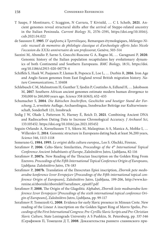- T Saupe, F Montinaro, C Scaggion, N Carrara, T Kivisild, … C L Scheib, **2021**. Ancient genomes reveal structural shifts after the arrival of Steppe-related ancestry in the Italian Peninsula. *Current Biology* 31, 2576–2591, https://doi.org/10.1016/j. cub.2021.04.022
- de Saussure F, **1905**. D' ώμήλυσις à Τριπτόλεμος. Remarques étymologiques, *Mélanges Nicole: receueil de memoires de philologie classique et d'archeologie offerts Jules Nicole l'occasion du XXXe anniversaire de son professorat*, Genève, 503-514
- Sazzini M, Abondio P, Sarno S, Gnecchi-Ruscone G A, Ragno M, … Garagnani P, **2020**. Genomic history of the Italian population recapitulates key evolutionary dynamics of both Continental and Southern Europeans. *BMC Biology*, 18:51, https://doi. org/10.1186/s12915-020-00778-4
- Schiffels S, Haak W, Paajanen P, Llamas B, Popescu E, Loe L, … Durbin R, **2016**. Iron Age and Anglo-Saxon genomes from East England reveal British migration history. *Nature Communications*, 7, 10408
- Schlebusch C M, Malmstrom H, Gunther T, Sjodin P, Coutinho A, Edlund H, … Jakobsson M, **2017**. Southern African ancient genomes estimate modern human divergence to 350,000 to 260,000 years ago. *Science* 358 (6363), 652–655
- Schumacher S, **2004**. *Die Rätischen Inschriften, Geschichte und heutiger Stand der Forschung*, 2, erweitete Auflage, Archaeolingua, Innsbrucker Beiträge zur Kulturwissenschaft, Sonderheft 121, Innsbruck
- Sedig J W, Olade I, Patterson N, Harney É, Reich D, **2021**. Combining Ancient DNA and Radiocarbon Dating Data to Increase Chronological Accuracy. *J Archaeol Sci*, 133:105452. https://doi.org/10.1016/j.jas.2021.105452
- Seguin-Orlando A, Korneliussen T S, Sikora M, Malaspinas A-S, Manica A, Moltke I, … Willerslev E, **2014**. Genomic structure in Europeans dating back at least 36,200 years, *Science* 346, 1113-1118
- Semerano G, **1984**, **1995**. *Le origini della cultura europea*,, Leo S. Olschki, Firenze,
- Serafimov P, **2006**. Celto-Slavic Similarities, *Proceedings of the 4th International Topical Conference Ancient Inhabitants of Europe*, Založništvo Jutro, Ljubljana, 82-116
- Serafimov P, **2007a**. New Reading of the Thracian Inscription on the Golden Ring From Ezerovo. *Proceedings of the Fifth International Topical Conference Origin of Europeans*, Ljubljana: Založništvo Jutro, 176-183
- Serafimov P, **2007b**. Translation of the Eteocretan Epioi inscription, *Zbornik pete mednarodne konference Izvor Evropejcev* [*Proceedings of the Fifth international topical conference Origin of Europeans*], Založništvo Jutro, Ljubljana, 199-206, http://www.korenine.si/zborniki/zbornik07/serafimov\_epioi07.pdf
- Serafimov P, **2008**, The Origin of the Glagolitic Alphabet, *Zbornik šeste mednarodne konference Izvor Evropejcev* [*Proceedings of the sixth international topical conference Origin of Europeans*], Založništvo Jutro, Ljubljana, pp. 99-117
- Serafimov P, Tomezzoli G, **2008**. Evidence for early Slavic presence in Minoan Crete. New reading of the Linear A inscription on the Golden Signet Ring of Mavro Spelio, *Proceedings of the First International Congress: Pre-Cyrillic Slavic Scripts and Pre-Christian Slavic Culture*, State Leningrads University A S Pushkin, St. Petersburg, pp. 337-346 (Серафимов П, Томецоли Д Т, **2008**. Доказательства раннего славянского при-